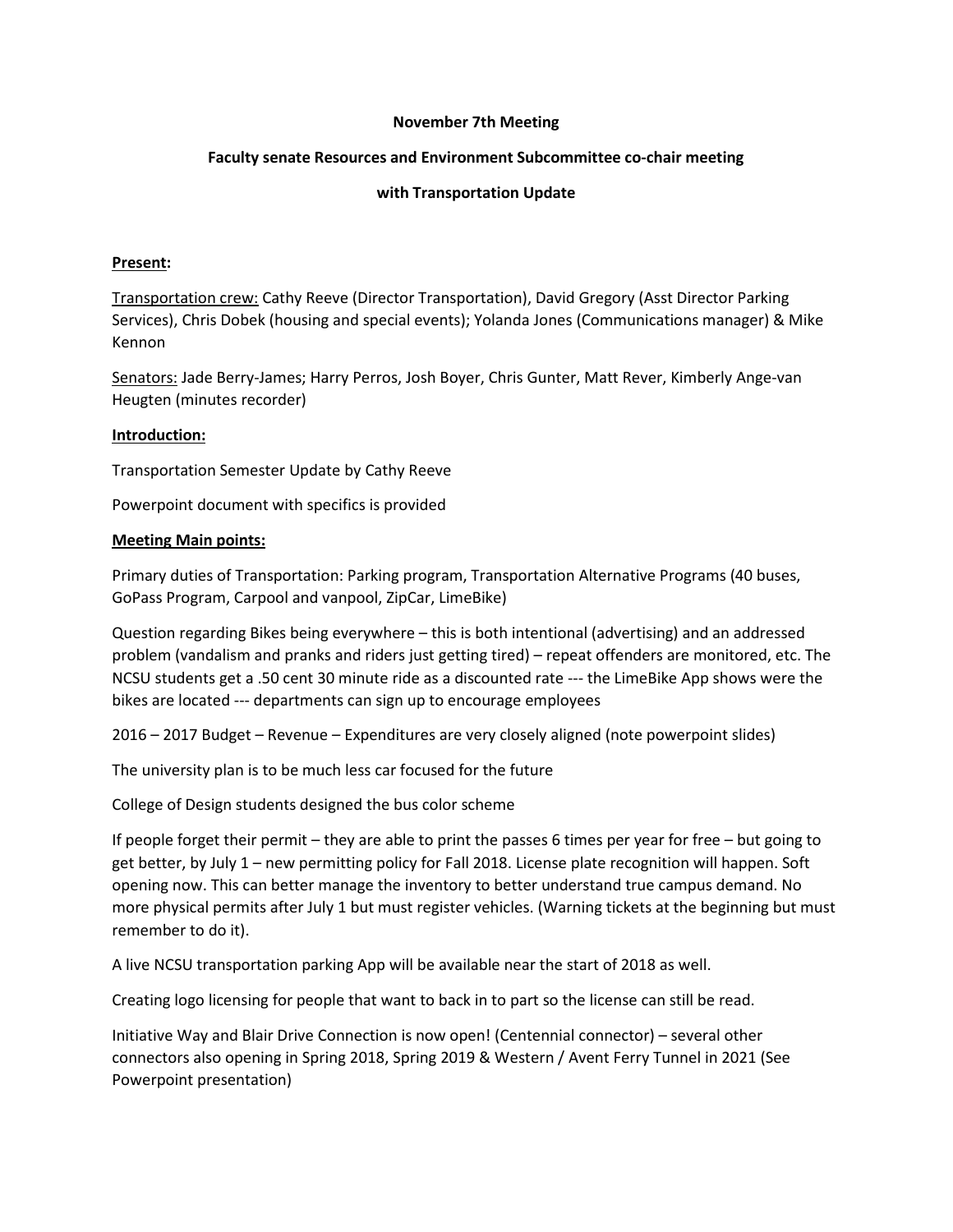# **November 7th Meeting**

# **Faculty senate Resources and Environment Subcommittee co-chair meeting**

## **with Transportation Update**

#### **Present:**

Transportation crew: Cathy Reeve (Director Transportation), David Gregory (Asst Director Parking Services), Chris Dobek (housing and special events); Yolanda Jones (Communications manager) & Mike Kennon

Senators: Jade Berry-James; Harry Perros, Josh Boyer, Chris Gunter, Matt Rever, Kimberly Ange-van Heugten (minutes recorder)

## **Introduction:**

Transportation Semester Update by Cathy Reeve

Powerpoint document with specifics is provided

## **Meeting Main points:**

Primary duties of Transportation: Parking program, Transportation Alternative Programs (40 buses, GoPass Program, Carpool and vanpool, ZipCar, LimeBike)

Question regarding Bikes being everywhere – this is both intentional (advertising) and an addressed problem (vandalism and pranks and riders just getting tired) – repeat offenders are monitored, etc. The NCSU students get a .50 cent 30 minute ride as a discounted rate --- the LimeBike App shows were the bikes are located --- departments can sign up to encourage employees

2016 – 2017 Budget – Revenue – Expenditures are very closely aligned (note powerpoint slides)

The university plan is to be much less car focused for the future

College of Design students designed the bus color scheme

If people forget their permit – they are able to print the passes 6 times per year for free – but going to get better, by July 1 – new permitting policy for Fall 2018. License plate recognition will happen. Soft opening now. This can better manage the inventory to better understand true campus demand. No more physical permits after July 1 but must register vehicles. (Warning tickets at the beginning but must remember to do it).

A live NCSU transportation parking App will be available near the start of 2018 as well.

Creating logo licensing for people that want to back in to part so the license can still be read.

Initiative Way and Blair Drive Connection is now open! (Centennial connector) – several other connectors also opening in Spring 2018, Spring 2019 & Western / Avent Ferry Tunnel in 2021 (See Powerpoint presentation)